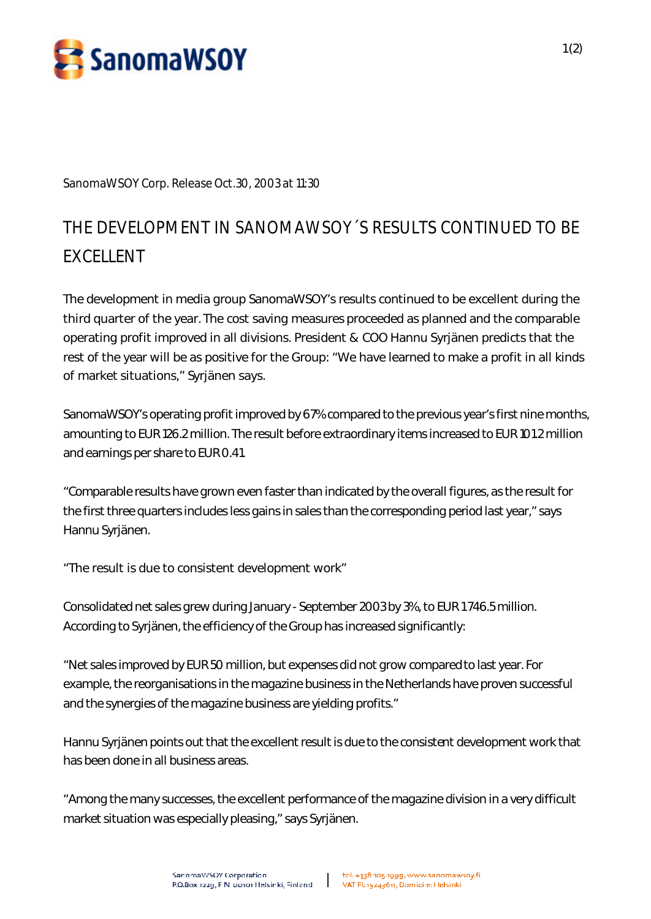

**SanomaWSOY Corp. Release Oct.30, 2003 at 11:30**

## **THE DEVELOPMENT IN SANOMAWSOY´S RESULTS CONTINUED TO BE EXCELLENT**

The development in media group SanomaWSOY's results continued to be excellent during the third quarter of the year. The cost saving measures proceeded as planned and the comparable operating profit improved in all divisions. President & COO Hannu Syrjänen predicts that the rest of the year will be as positive for the Group: "We have learned to make a profit in all kinds of market situations," Syrjänen says.

SanomaWSOY's operating profit improved by 67% compared to the previous year's first nine months, amounting to EUR 126.2 million. The result before extraordinary items increased to EUR 101.2 million and earnings per share to EUR 0.41.

"Comparable results have grown even faster than indicated by the overall figures, as the result for the first three quarters includes less gains in sales than the corresponding period last year," says Hannu Syrjänen.

"The result is due to consistent development work"

Consolidated net sales grew during January - September 2003 by 3%, to EUR 1 746.5 million. According to Syrjänen, the efficiency of the Group has increased significantly:

"Net sales improved by EUR 50 million, but expenses did not grow compared to last year. For example, the reorganisations in the magazine business in the Netherlands have proven successful and the synergies of the magazine business are yielding profits."

Hannu Syrjänen points out that the excellent result is due to the consistent development work that has been done in all business areas.

"Among the many successes, the excellent performance of the magazine division in a very difficult market situation was especially pleasing," says Syrjänen.